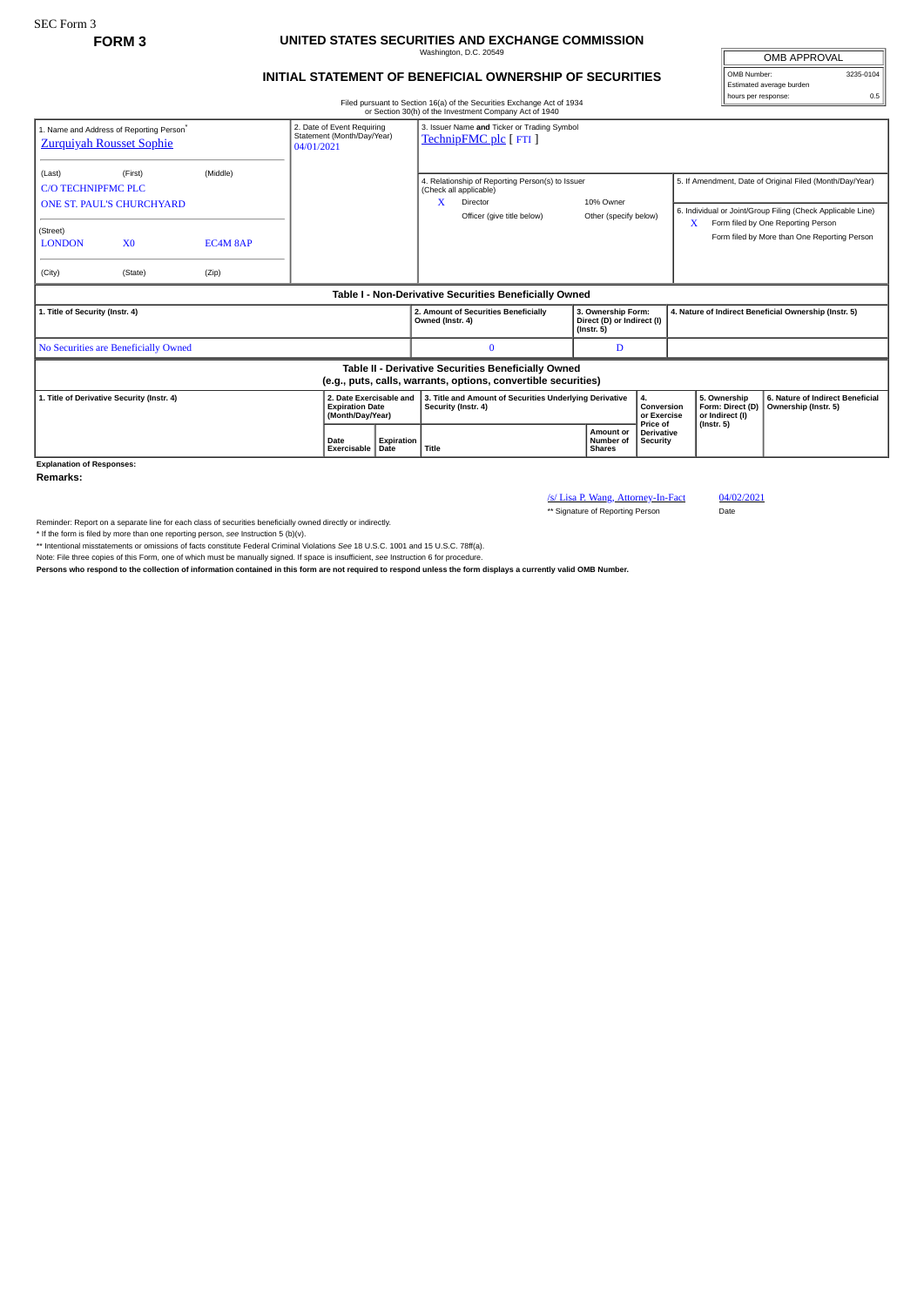## **FORM 3 UNITED STATES SECURITIES AND EXCHANGE COMMISSION** Washington, D.C. 20549

## **INITIAL STATEMENT OF BENEFICIAL OWNERSHIP OF SECURITIES**

Filed pursuant to Section 16(a) of the Securities Exchange Act of 1934 or Section 30(h) of the Investment Company Act of 1940

OMB APPROVAL OMB Number: 3235-0104 Estimated average burden hours per response: 0.5

| 1. Name and Address of Reporting Person <sup>®</sup><br><b>Zurquiyah Rousset Sophie</b> |                                             |                   | 2. Date of Event Requiring<br>Statement (Month/Day/Year)<br>04/01/2021 | 3. Issuer Name and Ticker or Trading Symbol<br>TechnipFMC plc [FTI]                                                       |                                                                      |                                             |                                                                         |                                                                                                                                                               |
|-----------------------------------------------------------------------------------------|---------------------------------------------|-------------------|------------------------------------------------------------------------|---------------------------------------------------------------------------------------------------------------------------|----------------------------------------------------------------------|---------------------------------------------|-------------------------------------------------------------------------|---------------------------------------------------------------------------------------------------------------------------------------------------------------|
| (Last)<br><b>C/O TECHNIPFMC PLC</b><br>(Street)                                         | (First)<br><b>ONE ST. PAUL'S CHURCHYARD</b> | (Middle)          |                                                                        | 4. Relationship of Reporting Person(s) to Issuer<br>(Check all applicable)<br>X<br>Director<br>Officer (give title below) | 10% Owner<br>Other (specify below)                                   |                                             | x                                                                       | 5. If Amendment, Date of Original Filed (Month/Day/Year)<br>6. Individual or Joint/Group Filing (Check Applicable Line)<br>Form filed by One Reporting Person |
| <b>LONDON</b><br>(City)                                                                 | X <sub>0</sub><br>(State)                   | EC4M 8AP<br>(Zip) |                                                                        |                                                                                                                           |                                                                      |                                             |                                                                         | Form filed by More than One Reporting Person                                                                                                                  |
|                                                                                         |                                             |                   |                                                                        | Table I - Non-Derivative Securities Beneficially Owned                                                                    |                                                                      |                                             |                                                                         |                                                                                                                                                               |
| 1. Title of Security (Instr. 4)                                                         |                                             |                   |                                                                        | 2. Amount of Securities Beneficially<br>Owned (Instr. 4)                                                                  | 3. Ownership Form:<br>Direct (D) or Indirect (I)<br>$($ lnstr. 5 $)$ |                                             | 4. Nature of Indirect Beneficial Ownership (Instr. 5)                   |                                                                                                                                                               |
|                                                                                         |                                             |                   |                                                                        |                                                                                                                           |                                                                      |                                             |                                                                         |                                                                                                                                                               |
|                                                                                         | No Securities are Beneficially Owned        |                   |                                                                        |                                                                                                                           | D                                                                    |                                             |                                                                         |                                                                                                                                                               |
|                                                                                         |                                             |                   |                                                                        | Table II - Derivative Securities Beneficially Owned<br>(e.g., puts, calls, warrants, options, convertible securities)     |                                                                      |                                             |                                                                         |                                                                                                                                                               |
| 1. Title of Derivative Security (Instr. 4)                                              |                                             |                   | 2. Date Exercisable and<br><b>Expiration Date</b><br>(Month/Day/Year)  | 3. Title and Amount of Securities Underlying Derivative<br>Security (Instr. 4)                                            |                                                                      | 4.<br>Conversion<br>or Exercise<br>Price of | 5. Ownership<br>Form: Direct (D)<br>or Indirect (I)<br>$($ lnstr. 5 $)$ | 6. Nature of Indirect Beneficial<br>Ownership (Instr. 5)                                                                                                      |

**Explanation of Responses:**

**Remarks:**

/s/ Lisa P. Wang, Attorney-In-Fact 04/02/2021

\*\* Signature of Reporting Person Date

Reminder: Report on a separate line for each class of securities beneficially owned directly or indirectly.

\* If the form is filed by more than one reporting person, see Instruction 5 (b)(v).<br>\*\* Intentional misstatements or omissions of facts constitute Federal Criminal Violations See 18 U.S.C. 1001 and 15 U.S.C. 78ff(a).

Note: File three copies of this Form, one of which must be manually signed. If space is insufficient, *see* Instruction 6 for procedure.

**Persons who respond to the collection of information contained in this form are not required to respond unless the form displays a currently valid OMB Number.**